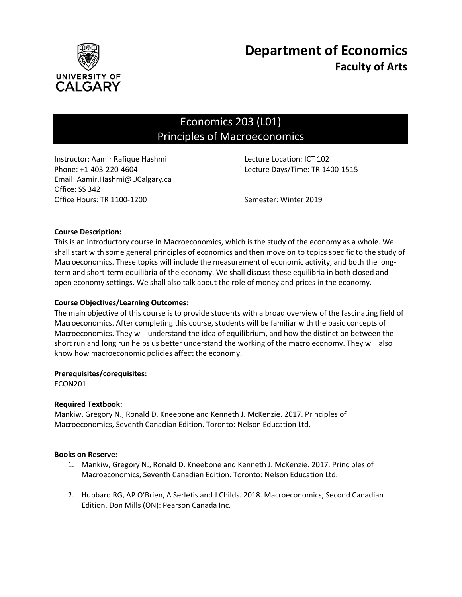

# Economics 203 (L01) Principles of Macroeconomics

Instructor: Aamir Rafique Hashmi Lecture Location: ICT 102 Phone: +1-403-220-4604 Lecture Days/Time: TR 1400-1515 Email: Aamir.Hashmi@UCalgary.ca Office: SS 342 Office Hours: TR 1100-1200 Semester: Winter 2019

## **Course Description:**

This is an introductory course in Macroeconomics, which is the study of the economy as a whole. We shall start with some general principles of economics and then move on to topics specific to the study of Macroeconomics. These topics will include the measurement of economic activity, and both the longterm and short-term equilibria of the economy. We shall discuss these equilibria in both closed and open economy settings. We shall also talk about the role of money and prices in the economy.

## **Course Objectives/Learning Outcomes:**

The main objective of this course is to provide students with a broad overview of the fascinating field of Macroeconomics. After completing this course, students will be familiar with the basic concepts of Macroeconomics. They will understand the idea of equilibrium, and how the distinction between the short run and long run helps us better understand the working of the macro economy. They will also know how macroeconomic policies affect the economy.

#### **Prerequisites/corequisites:**

ECON201

#### **Required Textbook:**

Mankiw, Gregory N., Ronald D. Kneebone and Kenneth J. McKenzie. 2017. Principles of Macroeconomics, Seventh Canadian Edition. Toronto: Nelson Education Ltd.

#### **Books on Reserve:**

- 1. Mankiw, Gregory N., Ronald D. Kneebone and Kenneth J. McKenzie. 2017. Principles of Macroeconomics, Seventh Canadian Edition. Toronto: Nelson Education Ltd.
- 2. Hubbard RG, AP O'Brien, A Serletis and J Childs. 2018. Macroeconomics, Second Canadian Edition. Don Mills (ON): Pearson Canada Inc.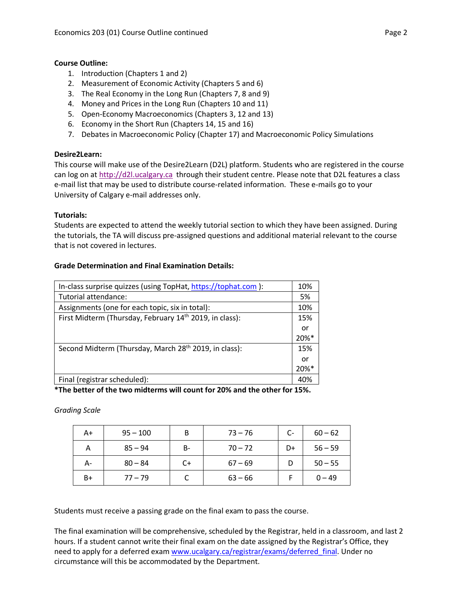## **Course Outline:**

- 1. Introduction (Chapters 1 and 2)
- 2. Measurement of Economic Activity (Chapters 5 and 6)
- 3. The Real Economy in the Long Run (Chapters 7, 8 and 9)
- 4. Money and Prices in the Long Run (Chapters 10 and 11)
- 5. Open-Economy Macroeconomics (Chapters 3, 12 and 13)
- 6. Economy in the Short Run (Chapters 14, 15 and 16)
- 7. Debates in Macroeconomic Policy (Chapter 17) and Macroeconomic Policy Simulations

## **Desire2Learn:**

This course will make use of the Desire2Learn (D2L) platform. Students who are registered in the course can log on at [http://d2l.ucalgary.ca](http://d2l.ucalgary.ca/) through their student centre. Please note that D2L features a class e-mail list that may be used to distribute course-related information. These e-mails go to your University of Calgary e-mail addresses only.

## **Tutorials:**

Students are expected to attend the weekly tutorial section to which they have been assigned. During the tutorials, the TA will discuss pre-assigned questions and additional material relevant to the course that is not covered in lectures.

## **Grade Determination and Final Examination Details:**

| In-class surprise quizzes (using TopHat, https://tophat.com ):      | 10%                 |
|---------------------------------------------------------------------|---------------------|
| Tutorial attendance:                                                | 5%                  |
| Assignments (one for each topic, six in total):                     | 10%                 |
| First Midterm (Thursday, February 14 <sup>th</sup> 2019, in class): | 15%                 |
|                                                                     | or                  |
|                                                                     | 20%*                |
| Second Midterm (Thursday, March 28 <sup>th</sup> 2019, in class):   | 15%                 |
|                                                                     | or                  |
|                                                                     | $20\%$ <sup>*</sup> |
| Final (registrar scheduled):                                        | 40%                 |

**\*The better of the two midterms will count for 20% and the other for 15%.**

*Grading Scale*

| A+ | $95 - 100$ | В    | $73 - 76$ | $C-$ | $60 - 62$ |
|----|------------|------|-----------|------|-----------|
| Α  | $85 - 94$  | B-   | $70 - 72$ | D+   | $56 - 59$ |
| А- | $80 - 84$  | $C+$ | $67 - 69$ |      | $50 - 55$ |
| B+ | $77 - 79$  |      | $63 - 66$ |      | $0 - 49$  |

Students must receive a passing grade on the final exam to pass the course.

The final examination will be comprehensive, scheduled by the Registrar, held in a classroom, and last 2 hours. If a student cannot write their final exam on the date assigned by the Registrar's Office, they need to apply for a deferred exam [www.ucalgary.ca/registrar/exams/deferred\\_final.](http://www.ucalgary.ca/registrar/exams/deferred_final) Under no circumstance will this be accommodated by the Department.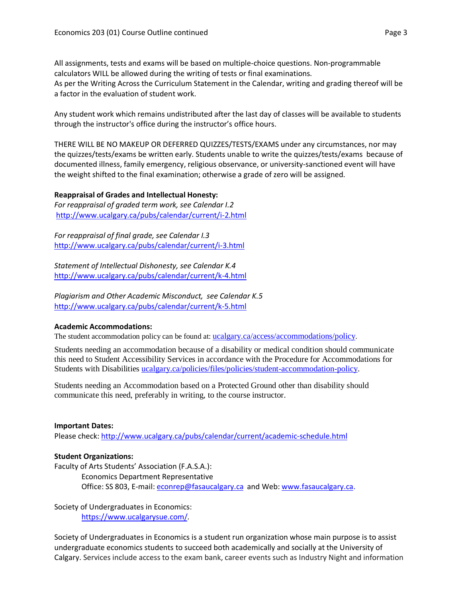All assignments, tests and exams will be based on multiple-choice questions. Non-programmable calculators WILL be allowed during the writing of tests or final examinations. As per the Writing Across the Curriculum Statement in the Calendar, writing and grading thereof will be a factor in the evaluation of student work.

Any student work which remains undistributed after the last day of classes will be available to students through the instructor's office during the instructor's office hours.

THERE WILL BE NO MAKEUP OR DEFERRED QUIZZES/TESTS/EXAMS under any circumstances, nor may the quizzes/tests/exams be written early. Students unable to write the quizzes/tests/exams because of documented illness, family emergency, religious observance, or university-sanctioned event will have the weight shifted to the final examination; otherwise a grade of zero will be assigned.

#### **Reappraisal of Grades and Intellectual Honesty:**

*For reappraisal of graded term work, see Calendar I.2* <http://www.ucalgary.ca/pubs/calendar/current/i-2.html>

*For reappraisal of final grade, see Calendar I.3* <http://www.ucalgary.ca/pubs/calendar/current/i-3.html>

*Statement of Intellectual Dishonesty, see Calendar K.4* <http://www.ucalgary.ca/pubs/calendar/current/k-4.html>

*Plagiarism and Other Academic Misconduct, see Calendar K.5* <http://www.ucalgary.ca/pubs/calendar/current/k-5.html>

#### **Academic Accommodations:**

The student accommodation policy can be found at: [ucalgary.ca/access/accommodations/policy.](http://www.ucalgary.ca/access/accommodations/policy)

Students needing an accommodation because of a disability or medical condition should communicate this need to Student Accessibility Services in accordance with the Procedure for Accommodations for Students with Disabilities [ucalgary.ca/policies/files/policies/student-accommodation-policy.](http://www.ucalgary.ca/policies/files/policies/student-accommodation-policy.pdf)

Students needing an Accommodation based on a Protected Ground other than disability should communicate this need, preferably in writing, to the course instructor.

#### **Important Dates:**

Please check:<http://www.ucalgary.ca/pubs/calendar/current/academic-schedule.html>

#### **Student Organizations:**

Faculty of Arts Students' Association (F.A.S.A.): Economics Department Representative Office: SS 803, E-mail: [econrep@fasaucalgary.ca](mailto:econrep@fasaucalgary.ca) and Web[: www.fasaucalgary.ca.](http://www.fasaucalgary.ca/)

Society of Undergraduates in Economics: [https://www.ucalgarysue.com/.](https://www.ucalgarysue.com/)

Society of Undergraduates in Economics is a student run organization whose main purpose is to assist undergraduate economics students to succeed both academically and socially at the University of Calgary. Services include access to the exam bank, career events such as Industry Night and information